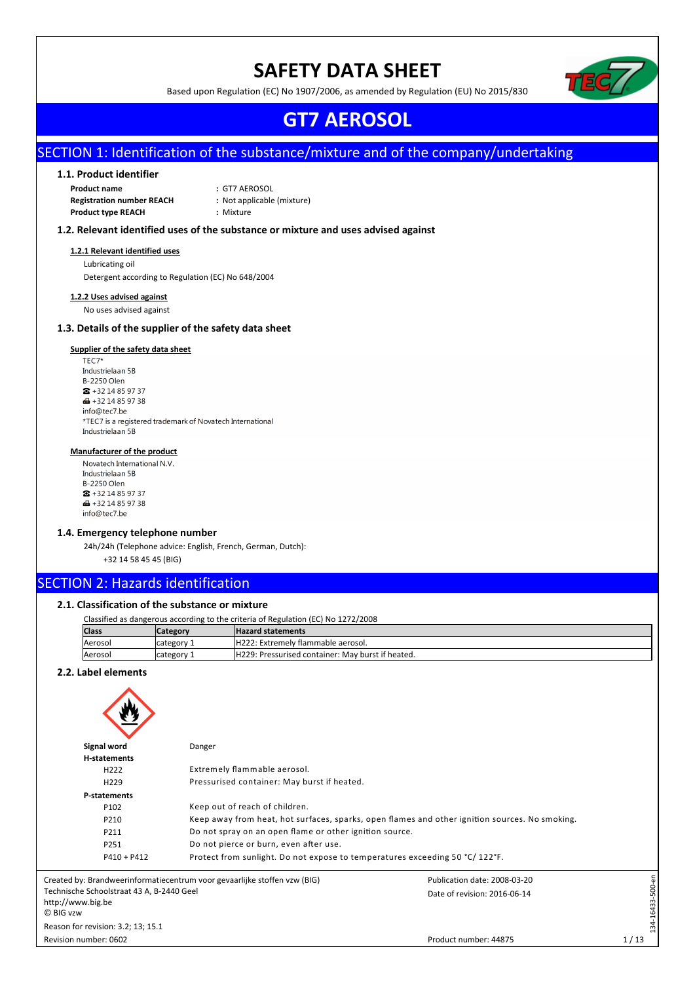# **SAFETY DATA SHEET**



Based upon Regulation (EC) No 1907/2006, as amended by Regulation (EU) No 2015/830

# **GT7 AEROSOL**

# SECTION 1: Identification of the substance/mixture and of the company/undertaking

# **1.1. Product identifier**

**Product name :** GT7 AEROSOL<br>**Registration number REACH :** Not applicable (mixture) **Registration number REACH Product type REACH :** Mixture

### **1.2. Relevant identified uses of the substance or mixture and uses advised against**

#### **1.2.1 Relevant identified uses**

Lubricating oil Detergent according to Regulation (EC) No 648/2004

### **1.2.2 Uses advised against**

No uses advised against

# **1.3. Details of the supplier of the safety data sheet**

## **Supplier of the safety data sheet**

TEC7\* Industrielaan 5B B-2250 Olen  $\bullet$  +32 14 85 97 37  $\bigoplus$  +32 14 85 97 38 info@tec7.be \*TEC7 is a registered trademark of Novatech International Industrielaan 5B

### **Manufacturer of the product**

Novatech International N.V. Industrielaan 5B B-2250 Olen  $\bullet$  +32 14 85 97 37 da +32 14 85 97 38 info@tec7.be

#### **1.4. Emergency telephone number**

24h/24h (Telephone advice: English, French, German, Dutch):

+32 14 58 45 45 (BIG)

# SECTION 2: Hazards identification

## **2.1. Classification of the substance or mixture**

| Classified as dangerous according to the criteria of Regulation (EC) No 1272/2008 |                                                                 |  |  |  |
|-----------------------------------------------------------------------------------|-----------------------------------------------------------------|--|--|--|
| <b>Class</b>                                                                      | <b>Hazard statements</b><br><b>Category</b>                     |  |  |  |
| H222: Extremely flammable aerosol.<br>Aerosol<br>category 1                       |                                                                 |  |  |  |
| Aerosol                                                                           | H229: Pressurised container: May burst if heated.<br>category 1 |  |  |  |

#### **2.2. Label elements**

| Signal word                                                                 | Danger                                                                      |                                                                                                |                 |
|-----------------------------------------------------------------------------|-----------------------------------------------------------------------------|------------------------------------------------------------------------------------------------|-----------------|
| H-statements                                                                |                                                                             |                                                                                                |                 |
| H <sub>222</sub>                                                            | Extremely flammable aerosol.                                                |                                                                                                |                 |
| H <sub>229</sub>                                                            | Pressurised container: May burst if heated.                                 |                                                                                                |                 |
| P-statements                                                                |                                                                             |                                                                                                |                 |
| P102                                                                        | Keep out of reach of children.                                              |                                                                                                |                 |
| P210                                                                        |                                                                             | Keep away from heat, hot surfaces, sparks, open flames and other ignition sources. No smoking. |                 |
| P211                                                                        | Do not spray on an open flame or other ignition source.                     |                                                                                                |                 |
| P251                                                                        | Do not pierce or burn, even after use.                                      |                                                                                                |                 |
| $P410 + P412$                                                               | Protect from sunlight. Do not expose to temperatures exceeding 50 °C/122°F. |                                                                                                |                 |
|                                                                             | Created by: Brandweerinformatiecentrum voor gevaarlijke stoffen vzw (BIG)   | Publication date: 2008-03-20                                                                   |                 |
| Technische Schoolstraat 43 A, B-2440 Geel<br>http://www.big.be<br>C BIG vzw |                                                                             | Date of revision: 2016-06-14                                                                   | 34-16433-500-en |
| Reason for revision: 3.2; 13; 15.1                                          |                                                                             |                                                                                                | ∺               |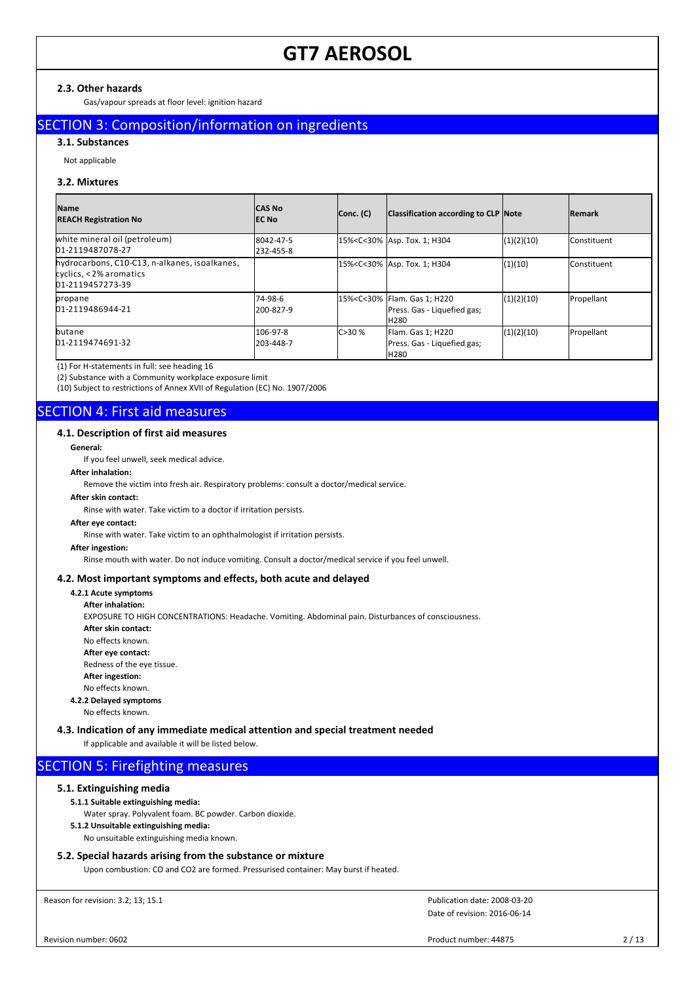### **2.3. Other hazards**

Gas/vapour spreads at floor level: ignition hazard

# SECTION 3: Composition/information on ingredients

## **3.1. Substances**

Not applicable

#### **3.2. Mixtures**

| <b>Name</b><br><b>REACH Registration No</b>                                                 | ICAS No<br>IEC No      | Conc. (C) | Classification according to CLP Note                                                                   |            | <b>Remark</b>        |
|---------------------------------------------------------------------------------------------|------------------------|-----------|--------------------------------------------------------------------------------------------------------|------------|----------------------|
| white mineral oil (petroleum)<br>01-2119487078-27                                           | 8042-47-5<br>232-455-8 |           | 15% <c<30% 1;="" asp.="" h304<="" td="" tox.=""><td>(1)(2)(10)</td><td><b>Constituent</b></td></c<30%> | (1)(2)(10) | <b>Constituent</b>   |
| hydrocarbons, C10-C13, n-alkanes, isoalkanes,<br>cyclics, <2% aromatics<br>01-2119457273-39 |                        |           | 15% <c<30% 1;="" asp.="" h304<="" td="" tox.=""><td>(1)(10)</td><td><b>I</b>Constituent</td></c<30%>   | (1)(10)    | <b>I</b> Constituent |
| propane<br>01-2119486944-21                                                                 | 74-98-6<br>200-827-9   |           | 15% <c<30% 1;="" flam.="" gas="" h220<br=""  ="">Press. Gas - Liquefied gas;<br/><b>H280</b></c<30%>   | (1)(2)(10) | Propellant           |
| butane<br>01-2119474691-32                                                                  | 106-97-8<br>203-448-7  | C > 30%   | Flam. Gas 1; H220<br>Press. Gas - Liquefied gas;<br><b>H280</b>                                        | (1)(2)(10) | Propellant           |

(1) For H-statements in full: see heading 16

(2) Substance with a Community workplace exposure limit

(10) Subject to restrictions of Annex XVII of Regulation (EC) No. 1907/2006

# SECTION 4: First aid measures

#### **4.1. Description of first aid measures**

**General:**

If you feel unwell, seek medical advice.

## **After inhalation:**

Remove the victim into fresh air. Respiratory problems: consult a doctor/medical service.

# **After skin contact:**

Rinse with water. Take victim to a doctor if irritation persists.

# **After eye contact:**

Rinse with water. Take victim to an ophthalmologist if irritation persists.

#### **After ingestion:**

Rinse mouth with water. Do not induce vomiting. Consult a doctor/medical service if you feel unwell.

## **4.2. Most important symptoms and effects, both acute and delayed**

#### **4.2.1 Acute symptoms After inhalation:**

EXPOSURE TO HIGH CONCENTRATIONS: Headache. Vomiting. Abdominal pain. Disturbances of consciousness. **After skin contact:** No effects known. **After eye contact:** Redness of the eye tissue. **After ingestion:** No effects known. **4.2.2 Delayed symptoms**

No effects known.

#### **4.3. Indication of any immediate medical attention and special treatment needed**

If applicable and available it will be listed below.

# SECTION 5: Firefighting measures

# **5.1. Extinguishing media**

#### **5.1.1 Suitable extinguishing media:**

- Water spray. Polyvalent foam. BC powder. Carbon dioxide.
- **5.1.2 Unsuitable extinguishing media:**
- No unsuitable extinguishing media known.

# **5.2. Special hazards arising from the substance or mixture**

Upon combustion: CO and CO2 are formed. Pressurised container: May burst if heated.

Reason for revision: 3.2; 13; 15.1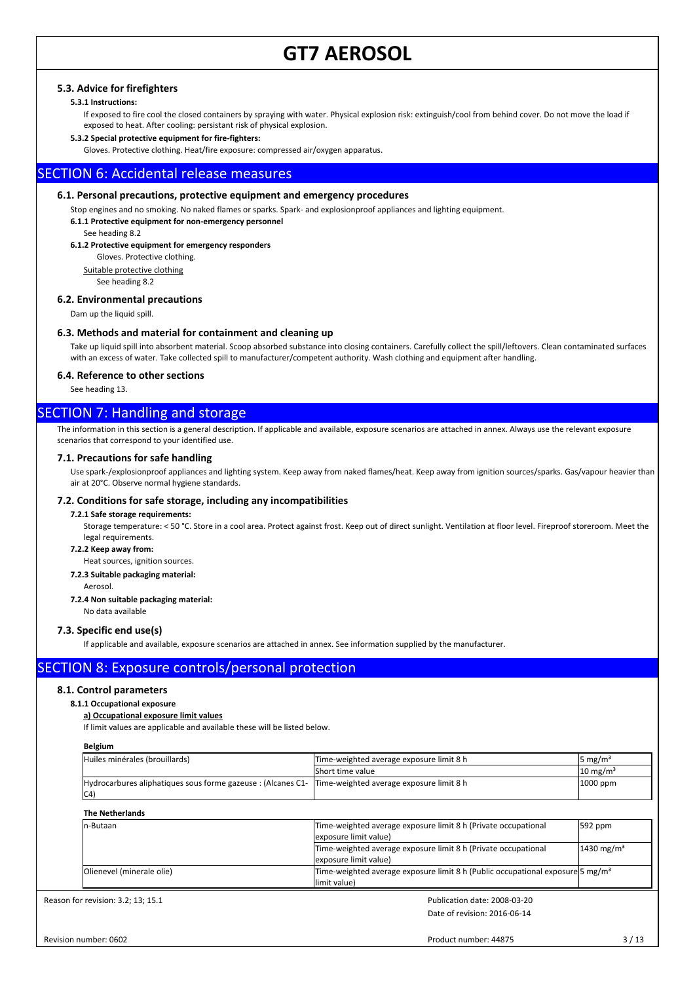# **5.3. Advice for firefighters**

#### **5.3.1 Instructions:**

If exposed to fire cool the closed containers by spraying with water. Physical explosion risk: extinguish/cool from behind cover. Do not move the load if exposed to heat. After cooling: persistant risk of physical explosion.

#### **5.3.2 Special protective equipment for fire-fighters:**

Gloves. Protective clothing. Heat/fire exposure: compressed air/oxygen apparatus.

# SECTION 6: Accidental release measures

#### **6.1. Personal precautions, protective equipment and emergency procedures**

Stop engines and no smoking. No naked flames or sparks. Spark- and explosionproof appliances and lighting equipment.

**6.1.1 Protective equipment for non-emergency personnel**

See heading 8.2

**6.1.2 Protective equipment for emergency responders**

Gloves. Protective clothing.

Suitable protective clothing

See heading 8.2

# **6.2. Environmental precautions**

Dam up the liquid spill.

#### **6.3. Methods and material for containment and cleaning up**

Take up liquid spill into absorbent material. Scoop absorbed substance into closing containers. Carefully collect the spill/leftovers. Clean contaminated surfaces with an excess of water. Take collected spill to manufacturer/competent authority. Wash clothing and equipment after handling.

#### **6.4. Reference to other sections**

See heading 13.

# SECTION 7: Handling and storage

The information in this section is a general description. If applicable and available, exposure scenarios are attached in annex. Always use the relevant exposure scenarios that correspond to your identified use.

#### **7.1. Precautions for safe handling**

Use spark-/explosionproof appliances and lighting system. Keep away from naked flames/heat. Keep away from ignition sources/sparks. Gas/vapour heavier than air at 20°C. Observe normal hygiene standards.

#### **7.2. Conditions for safe storage, including any incompatibilities**

#### **7.2.1 Safe storage requirements:**

Storage temperature: < 50 °C. Store in a cool area. Protect against frost. Keep out of direct sunlight. Ventilation at floor level. Fireproof storeroom. Meet the legal requirements.

**7.2.2 Keep away from:**

Heat sources, ignition sources.

**7.2.3 Suitable packaging material:**

Aerosol.

**7.2.4 Non suitable packaging material:**

#### No data available

#### **7.3. Specific end use(s)**

If applicable and available, exposure scenarios are attached in annex. See information supplied by the manufacturer.

# SECTION 8: Exposure controls/personal protection

#### **8.1. Control parameters**

#### **8.1.1 Occupational exposure**

#### **a) Occupational exposure limit values**

If limit values are applicable and available these will be listed below.

#### **Belgium**

| Huiles minérales (brouillards)                                                                                | Time-weighted average exposure limit 8 h | $5 \text{ mg/m}^3$  |
|---------------------------------------------------------------------------------------------------------------|------------------------------------------|---------------------|
|                                                                                                               | <b>Short time value</b>                  | $10 \text{ mg/m}^3$ |
| Hydrocarbures aliphatiques sous forme gazeuse : (Alcanes C1-  Time-weighted average exposure limit 8 h<br> CA |                                          | $1000$ ppm          |

#### **The Netherlands**

| In-Butaan                 | Time-weighted average exposure limit 8 h (Private occupational<br>lexposure limit value)                   | $592$ ppm             |
|---------------------------|------------------------------------------------------------------------------------------------------------|-----------------------|
|                           | Time-weighted average exposure limit 8 h (Private occupational<br>lexposure limit value)                   | $1430 \text{ mg/m}^3$ |
| Olienevel (minerale olie) | Time-weighted average exposure limit 8 h (Public occupational exposure $5 \text{ mg/m}^3$<br>llimit value) |                       |

Reason for revision: 3.2; 13; 15.1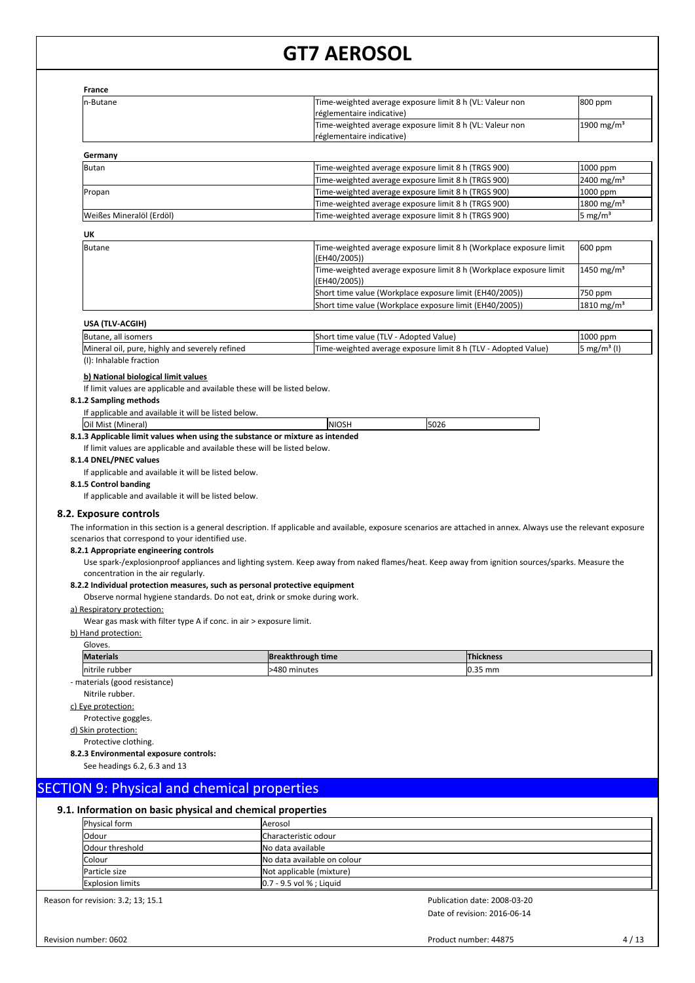| <b>France</b><br>n-Butane                                                                                                                                                                                       | Time-weighted average exposure limit 8 h (VL: Valeur non                                                                                                                                                                                                                                                                                                                                                                                                                         | 800 ppm                 |
|-----------------------------------------------------------------------------------------------------------------------------------------------------------------------------------------------------------------|----------------------------------------------------------------------------------------------------------------------------------------------------------------------------------------------------------------------------------------------------------------------------------------------------------------------------------------------------------------------------------------------------------------------------------------------------------------------------------|-------------------------|
|                                                                                                                                                                                                                 | réglementaire indicative)                                                                                                                                                                                                                                                                                                                                                                                                                                                        |                         |
|                                                                                                                                                                                                                 | Time-weighted average exposure limit 8 h (VL: Valeur non<br>réglementaire indicative)                                                                                                                                                                                                                                                                                                                                                                                            | 1900 mg/m <sup>3</sup>  |
| Germany                                                                                                                                                                                                         |                                                                                                                                                                                                                                                                                                                                                                                                                                                                                  |                         |
| <b>Butan</b>                                                                                                                                                                                                    | Time-weighted average exposure limit 8 h (TRGS 900)                                                                                                                                                                                                                                                                                                                                                                                                                              | 1000 ppm                |
|                                                                                                                                                                                                                 | Time-weighted average exposure limit 8 h (TRGS 900)                                                                                                                                                                                                                                                                                                                                                                                                                              | 2400 mg/m <sup>3</sup>  |
| Propan                                                                                                                                                                                                          | Time-weighted average exposure limit 8 h (TRGS 900)                                                                                                                                                                                                                                                                                                                                                                                                                              | 1000 ppm                |
|                                                                                                                                                                                                                 | Time-weighted average exposure limit 8 h (TRGS 900)                                                                                                                                                                                                                                                                                                                                                                                                                              | 1800 mg/m <sup>3</sup>  |
| Weißes Mineralöl (Erdöl)                                                                                                                                                                                        | Time-weighted average exposure limit 8 h (TRGS 900)                                                                                                                                                                                                                                                                                                                                                                                                                              | 5 mg/m <sup>3</sup>     |
| UK                                                                                                                                                                                                              |                                                                                                                                                                                                                                                                                                                                                                                                                                                                                  |                         |
| <b>Butane</b>                                                                                                                                                                                                   | Time-weighted average exposure limit 8 h (Workplace exposure limit<br>(EH40/2005))                                                                                                                                                                                                                                                                                                                                                                                               | 600 ppm                 |
|                                                                                                                                                                                                                 | Time-weighted average exposure limit 8 h (Workplace exposure limit<br>(EH40/2005))                                                                                                                                                                                                                                                                                                                                                                                               | 1450 mg/m <sup>3</sup>  |
|                                                                                                                                                                                                                 | Short time value (Workplace exposure limit (EH40/2005))                                                                                                                                                                                                                                                                                                                                                                                                                          | 750 ppm                 |
|                                                                                                                                                                                                                 | Short time value (Workplace exposure limit (EH40/2005))                                                                                                                                                                                                                                                                                                                                                                                                                          | 1810 mg/m <sup>3</sup>  |
| USA (TLV-ACGIH)                                                                                                                                                                                                 |                                                                                                                                                                                                                                                                                                                                                                                                                                                                                  |                         |
| Butane, all isomers                                                                                                                                                                                             | Short time value (TLV - Adopted Value)                                                                                                                                                                                                                                                                                                                                                                                                                                           | 1000 ppm                |
| Mineral oil, pure, highly and severely refined                                                                                                                                                                  | Time-weighted average exposure limit 8 h (TLV - Adopted Value)                                                                                                                                                                                                                                                                                                                                                                                                                   | 5 mg/m <sup>3</sup> (I) |
| (I): Inhalable fraction                                                                                                                                                                                         |                                                                                                                                                                                                                                                                                                                                                                                                                                                                                  |                         |
| If applicable and available it will be listed below.<br>If applicable and available it will be listed below.                                                                                                    | If limit values are applicable and available these will be listed below.                                                                                                                                                                                                                                                                                                                                                                                                         |                         |
| 8.1.4 DNEL/PNEC values<br>8.1.5 Control banding<br>8.2. Exposure controls<br>scenarios that correspond to your identified use.<br>8.2.1 Appropriate engineering controls<br>concentration in the air regularly. | The information in this section is a general description. If applicable and available, exposure scenarios are attached in annex. Always use the relevant exposure<br>Use spark-/explosionproof appliances and lighting system. Keep away from naked flames/heat. Keep away from ignition sources/sparks. Measure the<br>8.2.2 Individual protection measures, such as personal protective equipment<br>Observe normal hygiene standards. Do not eat, drink or smoke during work. |                         |
| a) Respiratory protection:                                                                                                                                                                                      |                                                                                                                                                                                                                                                                                                                                                                                                                                                                                  |                         |
| Wear gas mask with filter type A if conc. in air > exposure limit.                                                                                                                                              |                                                                                                                                                                                                                                                                                                                                                                                                                                                                                  |                         |
| b) Hand protection:<br>Gloves.                                                                                                                                                                                  |                                                                                                                                                                                                                                                                                                                                                                                                                                                                                  |                         |
| <b>Materials</b>                                                                                                                                                                                                | <b>Breakthrough time</b><br><b>Thickness</b>                                                                                                                                                                                                                                                                                                                                                                                                                                     |                         |
| nitrile rubber                                                                                                                                                                                                  | 0.35 mm<br>>480 minutes                                                                                                                                                                                                                                                                                                                                                                                                                                                          |                         |
| - materials (good resistance)                                                                                                                                                                                   |                                                                                                                                                                                                                                                                                                                                                                                                                                                                                  |                         |
| Nitrile rubber.                                                                                                                                                                                                 |                                                                                                                                                                                                                                                                                                                                                                                                                                                                                  |                         |
| c) Eye protection:                                                                                                                                                                                              |                                                                                                                                                                                                                                                                                                                                                                                                                                                                                  |                         |
| Protective goggles.                                                                                                                                                                                             |                                                                                                                                                                                                                                                                                                                                                                                                                                                                                  |                         |
| d) Skin protection:                                                                                                                                                                                             |                                                                                                                                                                                                                                                                                                                                                                                                                                                                                  |                         |
| Protective clothing.<br>8.2.3 Environmental exposure controls:                                                                                                                                                  |                                                                                                                                                                                                                                                                                                                                                                                                                                                                                  |                         |
| See headings 6.2, 6.3 and 13                                                                                                                                                                                    |                                                                                                                                                                                                                                                                                                                                                                                                                                                                                  |                         |
|                                                                                                                                                                                                                 |                                                                                                                                                                                                                                                                                                                                                                                                                                                                                  |                         |
| <b>SECTION 9: Physical and chemical properties</b>                                                                                                                                                              |                                                                                                                                                                                                                                                                                                                                                                                                                                                                                  |                         |
| 9.1. Information on basic physical and chemical properties                                                                                                                                                      |                                                                                                                                                                                                                                                                                                                                                                                                                                                                                  |                         |
| Physical form                                                                                                                                                                                                   | Aerosol                                                                                                                                                                                                                                                                                                                                                                                                                                                                          |                         |
| Odour                                                                                                                                                                                                           | Characteristic odour                                                                                                                                                                                                                                                                                                                                                                                                                                                             |                         |
| Odour threshold                                                                                                                                                                                                 | No data available                                                                                                                                                                                                                                                                                                                                                                                                                                                                |                         |
| Colour                                                                                                                                                                                                          | No data available on colour                                                                                                                                                                                                                                                                                                                                                                                                                                                      |                         |
| Particle size<br><b>Explosion limits</b>                                                                                                                                                                        | Not applicable (mixture)<br>0.7 - 9.5 vol % ; Liquid                                                                                                                                                                                                                                                                                                                                                                                                                             |                         |

Reason for revision: 3.2; 13; 15.1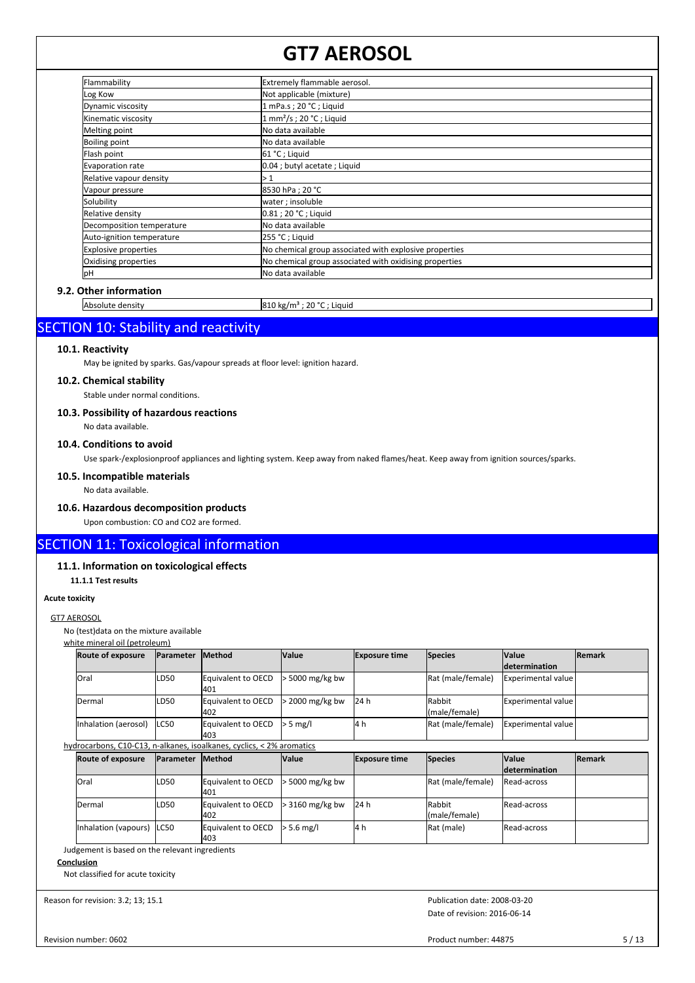| Flammability              | Extremely flammable aerosol.                           |
|---------------------------|--------------------------------------------------------|
| Log Kow                   | Not applicable (mixture)                               |
| Dynamic viscosity         | 1 mPa.s; 20 °C; Liquid                                 |
| Kinematic viscosity       | $1$ mm <sup>2</sup> /s; 20 °C; Liquid                  |
| Melting point             | No data available                                      |
| Boiling point             | No data available                                      |
| Flash point               | 61 °C; Liquid                                          |
| Evaporation rate          | 0.04 ; butyl acetate ; Liquid                          |
| Relative vapour density   | $\geq 1$                                               |
| Vapour pressure           | 8530 hPa; 20 °C                                        |
| Solubility                | water ; insoluble                                      |
| Relative density          | 0.81 ; 20 °C ; Liguid                                  |
| Decomposition temperature | No data available                                      |
| Auto-ignition temperature | 255 °C; Liquid                                         |
| Explosive properties      | No chemical group associated with explosive properties |
| Oxidising properties      | No chemical group associated with oxidising properties |
| pH                        | No data available                                      |

# **9.2. Other information**

Absolute density 810 kg/m<sup>3</sup> ; 20 °C ; Liquid

# SECTION 10: Stability and reactivity

## **10.1. Reactivity**

May be ignited by sparks. Gas/vapour spreads at floor level: ignition hazard.

# **10.2. Chemical stability**

Stable under normal conditions.

### **10.3. Possibility of hazardous reactions**

No data available.

# **10.4. Conditions to avoid**

Use spark-/explosionproof appliances and lighting system. Keep away from naked flames/heat. Keep away from ignition sources/sparks.

## **10.5. Incompatible materials**

No data available.

# **10.6. Hazardous decomposition products**

Upon combustion: CO and CO2 are formed.

# SECTION 11: Toxicological information

#### **11.1. Information on toxicological effects**

**11.1.1 Test results**

# **Acute toxicity**

### GT7 AEROSOL

No (test)data on the mixture available

|  |  | white mineral oil (petroleum) |  |
|--|--|-------------------------------|--|
|  |  |                               |  |

| <b>Route of exposure</b> | <b>Parameter</b>  | <b>IMethod</b>                                                        | <b>Value</b>      | <b>Exposure time</b> | <b>Species</b>          | <b>Value</b><br><b>Idetermination</b> | <b>Remark</b>  |
|--------------------------|-------------------|-----------------------------------------------------------------------|-------------------|----------------------|-------------------------|---------------------------------------|----------------|
| <b>Oral</b>              | LD <sub>50</sub>  | Equivalent to OECD<br>401                                             | $> 5000$ mg/kg bw |                      | Rat (male/female)       | <b>Experimental value</b>             |                |
| Dermal                   | LD <sub>50</sub>  | Equivalent to OECD<br>402                                             | $>$ 2000 mg/kg bw | 24 h                 | Rabbit<br>(male/female) | <b>Experimental value</b>             |                |
| Inhalation (aerosol)     | LC50              | Equivalent to OECD<br>l403                                            | $> 5$ mg/l        | 4 h                  | Rat (male/female)       | Experimental value                    |                |
|                          |                   | hydrocarbons, C10-C13, n-alkanes, isoalkanes, cyclics, < 2% aromatics |                   |                      |                         |                                       |                |
|                          |                   |                                                                       |                   |                      |                         |                                       |                |
| <b>Route of exposure</b> | <b>IParameter</b> | <b>Method</b>                                                         | <b>Value</b>      | <b>Exposure time</b> | <b>Species</b>          | <b>Value</b><br><b>Idetermination</b> | <b>IRemark</b> |
| <b>Oral</b>              | LD <sub>50</sub>  | Equivalent to OECD<br>401                                             | $> 5000$ mg/kg bw |                      | Rat (male/female)       | Read-across                           |                |
| Dermal                   | LD <sub>50</sub>  | Equivalent to OECD<br>402                                             | $>$ 3160 mg/kg bw | 24 h                 | Rabbit<br>(male/female) | Read-across                           |                |

Judgement is based on the relevant ingredients

## **Conclusion**

Not classified for acute toxicity

Reason for revision: 3.2; 13; 15.1

Date of revision: 2016-06-14 Publication date: 2008-03-20

Revision number: 0602

Product number: 44875 5/13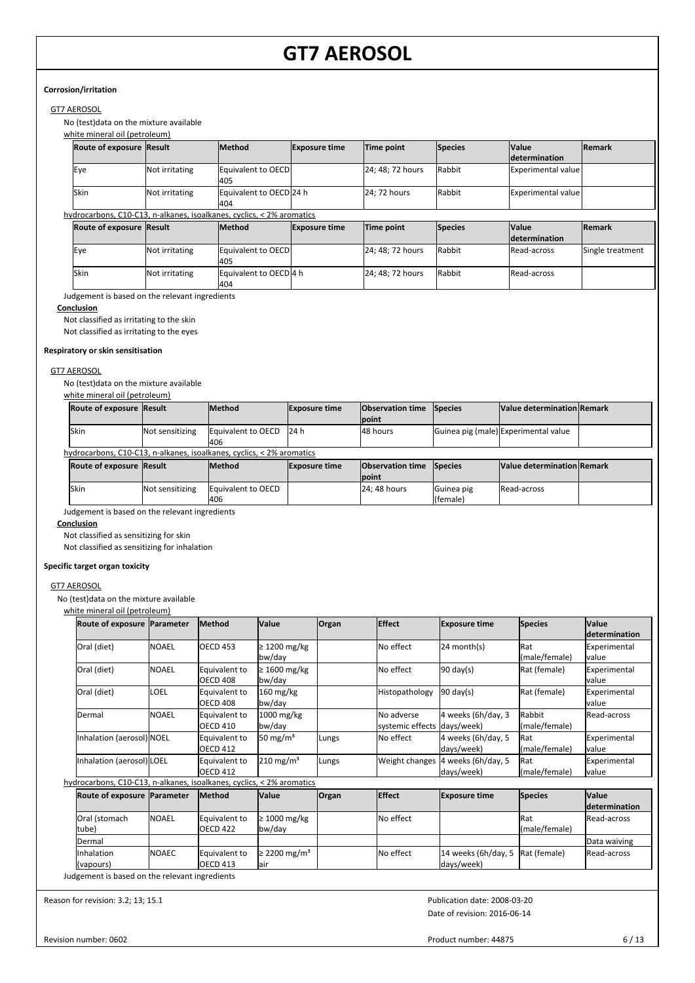## **Corrosion/irritation**

# GT7 AEROSOL

No (test)data on the mixture available

white mineral oil (petroleum)

| <b>Route of exposure Result</b> |                                                                                                 | <b>Method</b>                                                         | <b>Exposure time</b> | Time point       | <b>Species</b> | <b>Value</b><br><b>Idetermination</b> | Remark           |
|---------------------------------|-------------------------------------------------------------------------------------------------|-----------------------------------------------------------------------|----------------------|------------------|----------------|---------------------------------------|------------------|
| <b>Eye</b>                      | Equivalent to OECD<br>Not irritating<br>405<br>Equivalent to OECD 24 h<br>Not irritating<br>404 |                                                                       | 24; 48; 72 hours     |                  | Rabbit         | Experimental value                    |                  |
| lSkin                           |                                                                                                 |                                                                       |                      | 24: 72 hours     | Rabbit         | Experimental value                    |                  |
|                                 |                                                                                                 | hydrocarbons, C10-C13, n-alkanes, isoalkanes, cyclics, < 2% aromatics |                      |                  |                |                                       |                  |
| <b>Route of exposure Result</b> |                                                                                                 | <b>Method</b>                                                         | <b>Exposure time</b> | Time point       | <b>Species</b> | <b>Value</b><br><i>determination</i>  | <b>Remark</b>    |
| lEye                            | Not irritating<br>Equivalent to OECD<br>405<br>Equivalent to OECD 4 h<br>Not irritating<br>404  |                                                                       |                      | 24; 48; 72 hours | Rabbit         | <b>IRead-across</b>                   | Single treatment |
| lSkin                           |                                                                                                 |                                                                       | 24; 48; 72 hours     |                  | Rabbit         | <b>Read-across</b>                    |                  |

Judgement is based on the relevant ingredients

## **Conclusion**

Not classified as irritating to the skin

Not classified as irritating to the eyes

#### **Respiratory or skin sensitisation**

#### GT7 AEROSOL

No (test)data on the mixture available

| white mineral oil (petroleum) |                 |                                                                       |                      |                                  |                        |                                      |  |  |  |
|-------------------------------|-----------------|-----------------------------------------------------------------------|----------------------|----------------------------------|------------------------|--------------------------------------|--|--|--|
| Route of exposure Result      |                 | <b>Method</b>                                                         | <b>Exposure time</b> | <b>Observation time</b><br>point | Species                | Value determination Remark           |  |  |  |
| lSkin                         | Not sensitizing | Equivalent to OECD<br>406                                             | 24 h                 | 48 hours                         |                        | Guinea pig (male) Experimental value |  |  |  |
|                               |                 | hydrocarbons, C10-C13, n-alkanes, isoalkanes, cyclics, < 2% aromatics |                      |                                  |                        |                                      |  |  |  |
| Route of exposure Result      |                 | <b>Method</b>                                                         | <b>Exposure time</b> | <b>Observation time</b><br>point | Species                | Value determination Remark           |  |  |  |
| Skin                          | Not sensitizing | Equivalent to OECD<br>1406                                            |                      | 24; 48 hours                     | Guinea pig<br>(female) | Read-across                          |  |  |  |

Judgement is based on the relevant ingredients

**Conclusion**

Not classified as sensitizing for skin

Not classified as sensitizing for inhalation

## **Specific target organ toxicity**

#### GT7 AEROSOL

No (test)data on the mixture available

white mineral oil (petroleum)

| Route of exposure   Parameter                                         |                | Method                           | <b>Value</b>                     | Organ | <b>Effect</b>                             | <b>Exposure time</b>              | <b>Species</b>               | <b>Value</b><br>determination        |
|-----------------------------------------------------------------------|----------------|----------------------------------|----------------------------------|-------|-------------------------------------------|-----------------------------------|------------------------------|--------------------------------------|
| Oral (diet)                                                           | <b>I</b> NOAEL | <b>OECD 453</b>                  | $\geq$ 1200 mg/kg<br>bw/day      |       | No effect                                 | 24 month(s)                       | <b>R</b> at<br>(male/female) | Experimental<br>lvalue               |
| Oral (diet)                                                           | <b>I</b> NOAEL | Equivalent to<br>OECD 408        | $\geq 1600$ mg/kg<br>bw/day      |       | No effect                                 | $90 \text{ day(s)}$               | Rat (female)                 | Experimental<br>lvalue               |
| Oral (diet)                                                           | LOEL           | Equivalent to<br><b>OECD 408</b> | $160$ mg/kg<br>bw/day            |       | Histopathology                            | $90 \text{ day}(s)$               | Rat (female)                 | Experimental<br>lvalue               |
| Dermal                                                                | NOAEL          | Equivalent to<br><b>OECD 410</b> | $1000$ mg/kg<br>bw/day           |       | No adverse<br>systemic effects days/week) | 4 weeks (6h/day, 3                | Rabbit<br>(male/female)      | Read-across                          |
| Inhalation (aerosol) NOEL                                             |                | Equivalent to<br><b>OECD 412</b> | 50 mg/m <sup>3</sup>             | Lungs | No effect                                 | 4 weeks (6h/day, 5<br>days/week)  | <b>Rat</b><br>(male/female)  | Experimental<br>lvalue               |
| Inhalation (aerosol) LOEL                                             |                | Equivalent to<br><b>OECD 412</b> | $210 \text{ mg/m}^3$             | Lungs | Weight changes                            | 4 weeks (6h/day, 5<br>days/week)  | Rat<br>(male/female)         | Experimental<br>Ivalue               |
| hydrocarbons, C10-C13, n-alkanes, isoalkanes, cyclics, < 2% aromatics |                |                                  |                                  |       |                                           |                                   |                              |                                      |
| Route of exposure Parameter                                           |                | Method                           | <b>Value</b>                     | Organ | <b>Effect</b>                             | <b>Exposure time</b>              | <b>Species</b>               | <b>Value</b><br><i>determination</i> |
| Oral (stomach<br>tube)                                                | <b>NOAEL</b>   | Equivalent to<br><b>OECD 422</b> | $\geq 1000$ mg/kg<br>bw/day      |       | No effect                                 |                                   | Rat<br>(male/female)         | Read-across                          |
| <b>Dermal</b>                                                         |                |                                  |                                  |       |                                           |                                   |                              | Data waiving                         |
| Inhalation<br>(vapours)                                               | <b>INOAEC</b>  | Equivalent to<br><b>OECD 413</b> | ≥ 2200 mg/m <sup>3</sup><br>lair |       | No effect                                 | 14 weeks (6h/day, 5<br>days/week) | Rat (female)                 | Read-across                          |
| Judgement is based on the relevant ingredients                        |                |                                  |                                  |       |                                           |                                   |                              |                                      |

Reason for revision: 3.2; 13; 15.1

Date of revision: 2016-06-14 Publication date: 2008-03-20

Revision number: 0602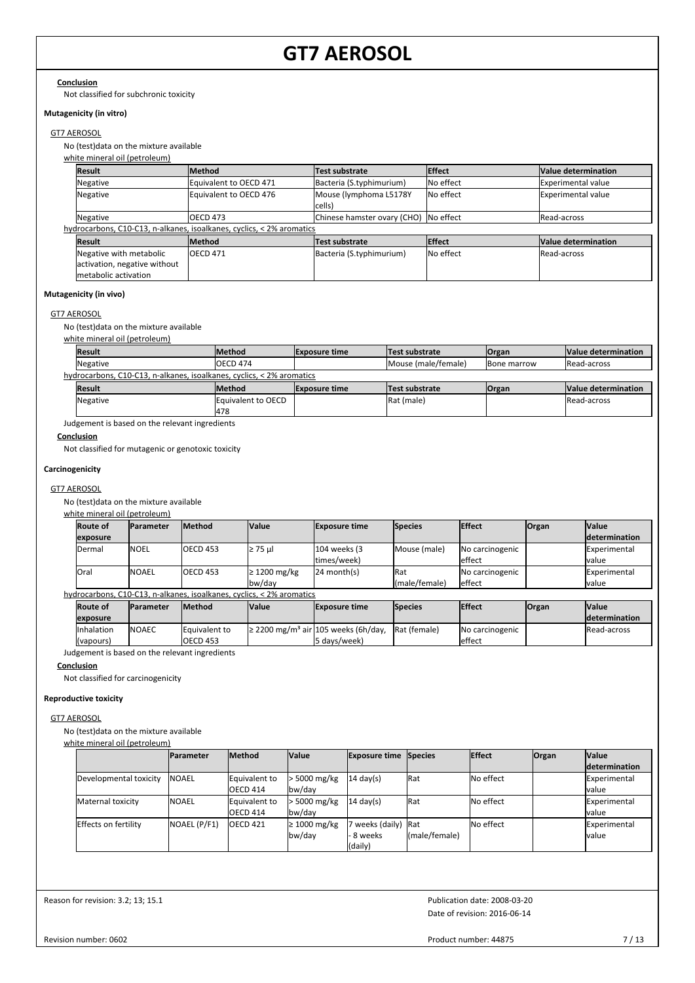#### **Conclusion**

Not classified for subchronic toxicity

#### **Mutagenicity (in vitro)**

#### GT7 AEROSOL

No (test)data on the mixture available

white mineral oil (petroleum)

| <b>Result</b>                | <b>Method</b>                                                         | Test substrate                        | <b>Effect</b>      | Value determination |
|------------------------------|-----------------------------------------------------------------------|---------------------------------------|--------------------|---------------------|
| Negative                     | Equivalent to OECD 471                                                | Bacteria (S.typhimurium)              | <b>I</b> No effect | Experimental value  |
| Negative                     | Equivalent to OECD 476                                                | Mouse (lymphoma L5178Y<br>cells)      | <b>No effect</b>   | Experimental value  |
| Negative                     | <b>OECD 473</b>                                                       | Chinese hamster ovary (CHO) No effect |                    | <b>IRead-across</b> |
|                              | hydrocarbons, C10-C13, n-alkanes, isoalkanes, cyclics, < 2% aromatics |                                       |                    |                     |
| <b>Result</b>                | <b>Method</b>                                                         | Test substrate                        | <b>Effect</b>      | Value determination |
| Negative with metabolic      | <b>OECD 471</b>                                                       | Bacteria (S.typhimurium)              | <b>No effect</b>   | Read-across         |
| activation, negative without |                                                                       |                                       |                    |                     |
| metabolic activation         |                                                                       |                                       |                    |                     |

#### **Mutagenicity (in vivo)**

#### GT7 AEROSOL

No (test)data on the mixture available

| white mineral oil (petroleum)                                         |                    |                      |                     |                     |                     |  |  |  |  |
|-----------------------------------------------------------------------|--------------------|----------------------|---------------------|---------------------|---------------------|--|--|--|--|
| <b>Result</b>                                                         | <b>IMethod</b>     | <b>Exposure time</b> | Test substrate      | <b>Organ</b>        | Value determination |  |  |  |  |
| Negative                                                              | IOECD 474          |                      | Mouse (male/female) | <b>IBone marrow</b> | Read-across         |  |  |  |  |
| hydrocarbons, C10-C13, n-alkanes, isoalkanes, cyclics, < 2% aromatics |                    |                      |                     |                     |                     |  |  |  |  |
| <b>Result</b>                                                         | <b>Method</b>      | <b>Exposure time</b> | Test substrate      | <b>Organ</b>        | Value determination |  |  |  |  |
| Negative                                                              | Equivalent to OECD |                      | Rat (male)          |                     | Read-across         |  |  |  |  |
|                                                                       | 478                |                      |                     |                     |                     |  |  |  |  |

Judgement is based on the relevant ingredients

#### **Conclusion**

Not classified for mutagenic or genotoxic toxicity

## **Carcinogenicity**

#### GT7 AEROSOL

No (test)data on the mixture available

#### white mineral oil (petroleum)

| <b>Route of</b>                                                       | <b>Parameter</b> | <b>Method</b>   | <b>Value</b>      | <b>Exposure time</b> | <b>Species</b> | <b>Effect</b>   | <b>Organ</b> | <b>Value</b>         |  |
|-----------------------------------------------------------------------|------------------|-----------------|-------------------|----------------------|----------------|-----------------|--------------|----------------------|--|
| exposure                                                              |                  |                 |                   |                      |                |                 |              | <i>determination</i> |  |
| Dermal                                                                | <b>NOEL</b>      | <b>OECD 453</b> | $\geq$ 75 µl      | 104 weeks (3         | Mouse (male)   | No carcinogenic |              | Experimental         |  |
|                                                                       |                  |                 |                   | ltimes/week)         |                | effect          |              | Ivalue               |  |
| lOral                                                                 | <b>NOAEL</b>     | <b>OECD 453</b> | $\geq$ 1200 mg/kg | $124$ month(s)       | Rat            | No carcinogenic |              | <b>IExperimental</b> |  |
|                                                                       |                  |                 | bw/dav            |                      | (male/female)  | effect          |              | Ivalue               |  |
| hydrocarbons, C10-C13, n-alkanes, isoalkanes, cyclics, < 2% aromatics |                  |                 |                   |                      |                |                 |              |                      |  |

| <b>Route of</b> | <b>Parameter</b> | <b>Method</b>   | <b>Value</b> | <b>Exposure time</b>                                 | <b>Species</b> | <b>Effect</b>   | <b>Organ</b> | <b>Value</b>          |
|-----------------|------------------|-----------------|--------------|------------------------------------------------------|----------------|-----------------|--------------|-----------------------|
| lexposure       |                  |                 |              |                                                      |                |                 |              | <b>Idetermination</b> |
| Inhalation      | <b>NOAEC</b>     | Equivalent to   |              | $\geq$ 2200 mg/m <sup>3</sup> air 105 weeks (6h/day, | Rat (female)   | No carcinogenic |              | <b>IRead-across</b>   |
| (vapours)       |                  | <b>OECD 453</b> |              | l5 davs/week)                                        |                | effect          |              |                       |

Judgement is based on the relevant ingredients

### **Conclusion**

Not classified for carcinogenicity

## **Reproductive toxicity**

# GT7 AEROSOL

No (test)data on the mixture available

#### white mineral oil (petroleum)

|                        | <b>Parameter</b> | <b>Method</b>       | <b>Value</b>      | <b>Exposure time Species</b> |               | <b>Effect</b> | <b>Organ</b> | <b>Value</b>  |
|------------------------|------------------|---------------------|-------------------|------------------------------|---------------|---------------|--------------|---------------|
|                        |                  |                     |                   |                              |               |               |              | determination |
| Developmental toxicity | <b>INOAEL</b>    | Equivalent to       | > 5000 mg/kg      | $14 \text{ day(s)}$          | <b>Rat</b>    | No effect     |              | Experimental  |
|                        |                  | <b>OECD 414</b>     | bw/day            |                              |               |               |              | Ivalue        |
| Maternal toxicity      | <b>NOAEL</b>     | Equivalent to       | > 5000 mg/kg      | $14 \text{ day}(s)$          | <b>Rat</b>    | No effect     |              | Experimental  |
|                        |                  | <b>OECD 414</b>     | bw/day            |                              |               |               |              | Ivalue        |
| Effects on fertility   | NOAEL (P/F1)     | OECD <sub>421</sub> | $\geq 1000$ mg/kg | weeks (daily) Rat            |               | No effect     |              | Experimental  |
|                        |                  |                     | bw/day            | 8 weeks                      | (male/female) |               |              | lvalue        |
|                        |                  |                     |                   | (daily)                      |               |               |              |               |

Reason for revision: 3.2; 13; 15.1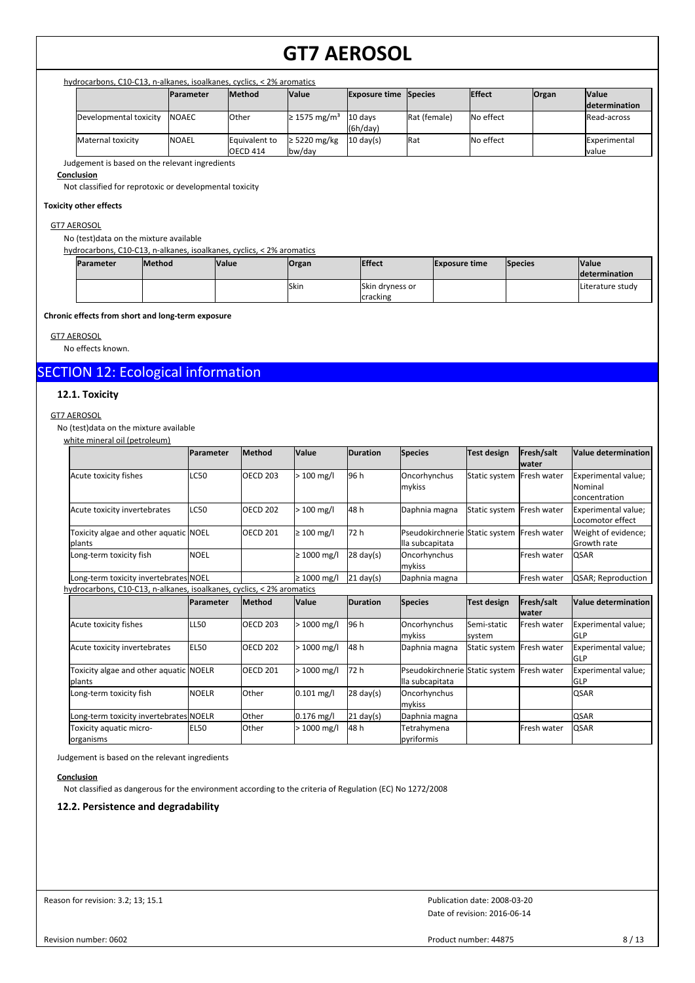### hydrocarbons, C10-C13, n-alkanes, isoalkanes, cyclics, < 2% aromatics

|                        | <b>IParameter</b> | <b>Method</b>                    | <b>Value</b>                  | <b>Exposure time Species</b> |              | <b>IEffect</b> | <b>Organ</b> | <b>Value</b><br><i>determination</i> |
|------------------------|-------------------|----------------------------------|-------------------------------|------------------------------|--------------|----------------|--------------|--------------------------------------|
| Developmental toxicity | <b>INOAEC</b>     | <b>l</b> Other                   | $\geq$ 1575 mg/m <sup>3</sup> | 10 davs<br>(6h/day)          | Rat (female) | No effect      |              | <b>IRead-across</b>                  |
| Maternal toxicity      | <b>INOAEL</b>     | Equivalent to<br><b>OECD 414</b> | $\geq$ 5220 mg/kg<br>bw/day   | $10 \text{ day(s)}$          | Rat          | No effect      |              | <b>IExperimental</b><br>lvalue       |

Judgement is based on the relevant ingredients

#### **Conclusion**

Not classified for reprotoxic or developmental toxicity

#### **Toxicity other effects**

#### GT7 AEROSOL

No (test)data on the mixture available

#### hydrocarbons, C10-C13, n-alkanes, isoalkanes, cyclics, < 2% aromatics

| Parameter | <b>Method</b> | <b>Value</b> | <b>Organ</b> | <b>Effect</b>   | <b>Exposure time</b> | <b>Species</b> | <b>Value</b><br><b>Idetermination</b> |
|-----------|---------------|--------------|--------------|-----------------|----------------------|----------------|---------------------------------------|
|           |               |              | Skin         | Skin dryness or |                      |                | <b>ILiterature study</b>              |
|           |               |              |              | cracking        |                      |                |                                       |

**Chronic effects from short and long-term exposure**

GT7 AEROSOL

No effects known.

# SECTION 12: Ecological information

# **12.1. Toxicity**

#### GT7 AEROSOL

No (test)data on the mixture available

| white mineral oil (petroleum)                                         |                  |                 |                  |                     |                                                               |                       |                            |                                                 |
|-----------------------------------------------------------------------|------------------|-----------------|------------------|---------------------|---------------------------------------------------------------|-----------------------|----------------------------|-------------------------------------------------|
|                                                                       | Parameter        | Method          | Value            | <b>Duration</b>     | <b>Species</b>                                                | <b>Test design</b>    | Fresh/salt<br><b>water</b> | Value determination                             |
| Acute toxicity fishes                                                 | <b>LC50</b>      | <b>OECD 203</b> | $>100$ mg/l      | 96 h                | Oncorhynchus<br>mykiss                                        | Static system         | Fresh water                | Experimental value;<br>Nominal<br>concentration |
| Acute toxicity invertebrates                                          | <b>LC50</b>      | <b>OECD 202</b> | $>100$ mg/l      | 48 h                | Daphnia magna                                                 | Static system         | <b>IFresh water</b>        | Experimental value;<br>Locomotor effect         |
| Toxicity algae and other aquatic NOEL<br><b>Iplants</b>               |                  | <b>OECD 201</b> | $\geq 100$ mg/l  | 72 h                | Pseudokirchnerie Static system Fresh water<br>lla subcapitata |                       |                            | Weight of evidence;<br>Growth rate              |
| Long-term toxicity fish                                               | <b>NOEL</b>      |                 | $\geq 1000$ mg/l | $28 \text{ day}(s)$ | Oncorhynchus<br>mykiss                                        |                       | Fresh water                | QSAR                                            |
| Long-term toxicity invertebrates NOEL                                 |                  |                 | $\geq 1000$ mg/l | $21 \text{ day}(s)$ | Daphnia magna                                                 |                       | Fresh water                | QSAR; Reproduction                              |
| hydrocarbons, C10-C13, n-alkanes, isoalkanes, cyclics, < 2% aromatics |                  |                 |                  |                     |                                                               |                       |                            |                                                 |
|                                                                       | <b>Parameter</b> | <b>Method</b>   | Value            | <b>Duration</b>     | <b>Species</b>                                                | Test design           | Fresh/salt<br><b>water</b> | Value determination                             |
| Acute toxicity fishes                                                 | <b>LL50</b>      | <b>OECD 203</b> | $>1000$ mg/l     | 96 h                | Oncorhynchus<br>mykiss                                        | Semi-static<br>system | Fresh water                | Experimental value;<br>GLP                      |
| Acute toxicity invertebrates                                          | <b>EL50</b>      | <b>OECD 202</b> | $>1000$ mg/l     | 48 h                | Daphnia magna                                                 | Static system         | Fresh water                | Experimental value;<br>GLP                      |
| Toxicity algae and other aquatic NOELR<br><b>Iplants</b>              |                  | <b>OECD 201</b> | > 1000 mg/l      | 72 h                | Pseudokirchnerie Static system<br>lla subcapitata             |                       | <b>IFresh water</b>        | Experimental value;<br><b>GLP</b>               |
| Long-term toxicity fish                                               | <b>NOELR</b>     | Other           | $0.101$ mg/l     | $28 \text{ day}(s)$ | Oncorhynchus                                                  |                       |                            | QSAR                                            |

Long-term toxicity invertebrates NOELR Other 0.176 mg/l 21 day(s) Daphnia magna | and CSAR

mykiss

pyriformis

EL50 Other > 1000 mg/l Tetrahymena 48 h Fresh water QSAR

Judgement is based on the relevant ingredients

Toxicity aquatic micro-

#### **Conclusion**

organisms

Not classified as dangerous for the environment according to the criteria of Regulation (EC) No 1272/2008

## **12.2. Persistence and degradability**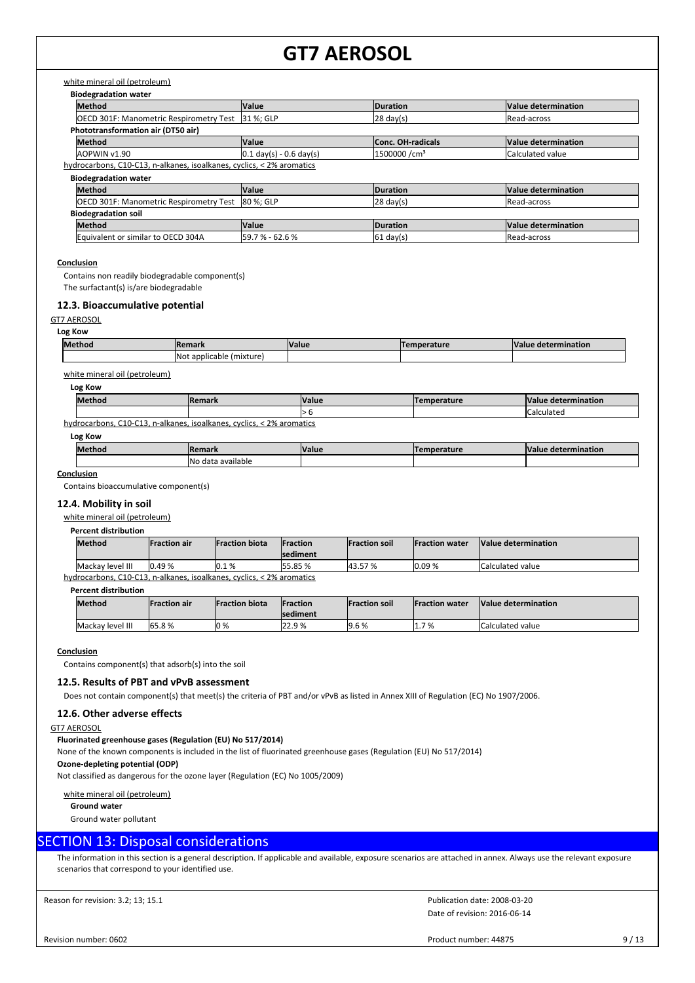# white mineral oil (petroleum)

| <b>Biodegradation water</b>                                           |                                           |                          |                     |  |  |  |  |  |
|-----------------------------------------------------------------------|-------------------------------------------|--------------------------|---------------------|--|--|--|--|--|
| <b>Method</b>                                                         | <b>Value</b>                              | Duration                 | Value determination |  |  |  |  |  |
| OECD 301F: Manometric Respirometry Test                               | 31 %; GLP                                 | $ 28 \text{ day}(s) $    | Read-across         |  |  |  |  |  |
| Phototransformation air (DT50 air)                                    |                                           |                          |                     |  |  |  |  |  |
| Method                                                                | <b>Value</b>                              | <b>Conc. OH-radicals</b> | Value determination |  |  |  |  |  |
| AOPWIN v1.90                                                          | $0.1 \text{ day(s)} - 0.6 \text{ day(s)}$ | 1500000 /cm <sup>3</sup> | Calculated value    |  |  |  |  |  |
| hydrocarbons, C10-C13, n-alkanes, isoalkanes, cyclics, < 2% aromatics |                                           |                          |                     |  |  |  |  |  |
| <b>Biodegradation water</b>                                           |                                           |                          |                     |  |  |  |  |  |
| Method                                                                | <b>Value</b>                              | Duration                 | Value determination |  |  |  |  |  |
| <b>OECD 301F: Manometric Respirometry Test</b>                        | 80 %; GLP                                 | $ 28 \text{ day}(s) $    | Read-across         |  |  |  |  |  |
| <b>Biodegradation soil</b>                                            |                                           |                          |                     |  |  |  |  |  |

| www.pranamon.com                   |                      |                  |                            |  |  |  |
|------------------------------------|----------------------|------------------|----------------------------|--|--|--|
| <b>Method</b>                      | Value                | <b>IDuration</b> | <b>Value determination</b> |  |  |  |
| Equivalent or similar to OECD 304A | 59<br>62.6 %<br>7%-0 | - 161<br>davls   | Read-across                |  |  |  |
|                                    |                      |                  |                            |  |  |  |

## **Conclusion**

Contains non readily biodegradable component(s)

The surfactant(s) is/are biodegradable

# **12.3. Bioaccumulative potential**

GT7 AEROSOL

| Method<br>ша | <b>Remove</b>          | alut/ | 10.04 | $\mathbf{u}$<br>чанов |
|--------------|------------------------|-------|-------|-----------------------|
| <b>INot</b>  | applicable<br>'mixtur⊾ |       |       |                       |

# white mineral oil (petroleum)

| Log Kow |        |              |             |                     |  |
|---------|--------|--------------|-------------|---------------------|--|
| Method  | Remark | <b>Value</b> | Temperature | Value determination |  |
|         |        | ı ⁄ П        |             | ICalculated         |  |

hydrocarbons, C10-C13, n-alkanes, isoalkanes, cyclics, < 2% aromatics

**Log Kow**

| Method | <b>Ren</b><br>emark               | <b>Value</b> | ----- | mination. |
|--------|-----------------------------------|--------------|-------|-----------|
|        | <b>INc</b><br>ı available<br>data |              |       |           |

**Conclusion**

Contains bioaccumulative component(s)

# **12.4. Mobility in soil**

white mineral oil (petroleum)

# **Percent distribution**

| <b>Method</b>    | lFraction air | <b>IFraction biota</b> | <b>IFraction</b><br>Isediment | <b>Fraction soil</b> | <b>Fraction water</b> | Value determination     |
|------------------|---------------|------------------------|-------------------------------|----------------------|-----------------------|-------------------------|
| Mackay level III | .0.49 %       | 10.1%                  | 55.85 %                       | .57%<br>43.57        | 0.09%                 | <b>Calculated value</b> |

hydrocarbons, C10-C13, n-alkanes, isoalkanes, cyclics, < 2% aromatics

### **Percent distribution**

| Method           | <b>IFraction air</b> | <b>Fraction biota</b> | <b>IFraction</b><br><b>sediment</b> | <b>Fraction soil</b> | <b>Fraction water</b> | Value determination     |
|------------------|----------------------|-----------------------|-------------------------------------|----------------------|-----------------------|-------------------------|
| Mackay level III | 65.8%                | $10\%$                | 22.9%                               | 9.6%                 | 7 %<br>I J. J         | <b>Calculated value</b> |

#### **Conclusion**

Contains component(s) that adsorb(s) into the soil

# **12.5. Results of PBT and vPvB assessment**

Does not contain component(s) that meet(s) the criteria of PBT and/or vPvB as listed in Annex XIII of Regulation (EC) No 1907/2006.

#### **12.6. Other adverse effects**

#### GT7 AEROSOL

#### **Fluorinated greenhouse gases (Regulation (EU) No 517/2014)**

None of the known components is included in the list of fluorinated greenhouse gases (Regulation (EU) No 517/2014)

**Ozone-depleting potential (ODP)**

Not classified as dangerous for the ozone layer (Regulation (EC) No 1005/2009)

#### white mineral oil (petroleum)

**Ground water**

Ground water pollutant

# SECTION 13: Disposal considerations

The information in this section is a general description. If applicable and available, exposure scenarios are attached in annex. Always use the relevant exposure scenarios that correspond to your identified use.

Reason for revision: 3.2; 13; 15.1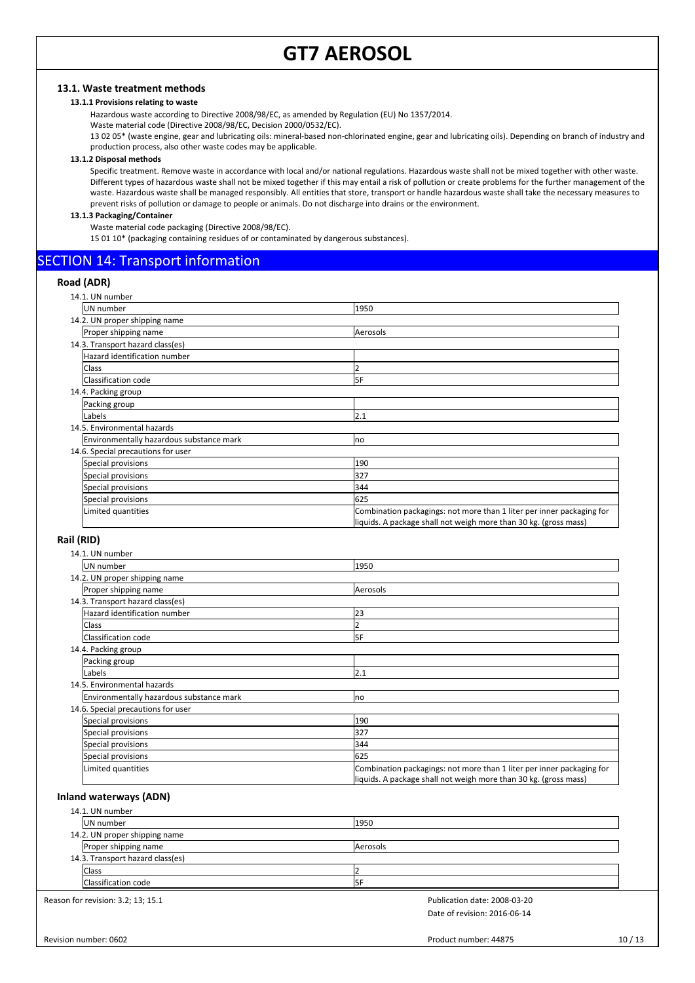# **13.1. Waste treatment methods**

## **13.1.1 Provisions relating to waste**

Hazardous waste according to Directive 2008/98/EC, as amended by Regulation (EU) No 1357/2014.

Waste material code (Directive 2008/98/EC, Decision 2000/0532/EC).

13 02 05\* (waste engine, gear and lubricating oils: mineral-based non-chlorinated engine, gear and lubricating oils). Depending on branch of industry and production process, also other waste codes may be applicable.

#### **13.1.2 Disposal methods**

Specific treatment. Remove waste in accordance with local and/or national regulations. Hazardous waste shall not be mixed together with other waste. Different types of hazardous waste shall not be mixed together if this may entail a risk of pollution or create problems for the further management of the waste. Hazardous waste shall be managed responsibly. All entities that store, transport or handle hazardous waste shall take the necessary measures to prevent risks of pollution or damage to people or animals. Do not discharge into drains or the environment.

### **13.1.3 Packaging/Container**

Waste material code packaging (Directive 2008/98/EC).

15 01 10\* (packaging containing residues of or contaminated by dangerous substances).

# SECTION 14: Transport information

## **Road (ADR)**

| 14.1. UN number                          |                                                                       |
|------------------------------------------|-----------------------------------------------------------------------|
| UN number                                | 1950                                                                  |
| 14.2. UN proper shipping name            |                                                                       |
| Proper shipping name                     | Aerosols                                                              |
| 14.3. Transport hazard class(es)         |                                                                       |
| Hazard identification number             |                                                                       |
| <b>Class</b>                             |                                                                       |
| Classification code                      | 5F                                                                    |
| 14.4. Packing group                      |                                                                       |
| Packing group                            |                                                                       |
| Labels                                   | 2.1                                                                   |
| 14.5. Environmental hazards              |                                                                       |
| Environmentally hazardous substance mark | no                                                                    |
| 14.6. Special precautions for user       |                                                                       |
| Special provisions                       | 190                                                                   |
| Special provisions                       | 327                                                                   |
| Special provisions                       | 344                                                                   |
| Special provisions                       | 625                                                                   |
| Limited quantities                       | Combination packagings: not more than 1 liter per inner packaging for |
|                                          | liquids. A package shall not weigh more than 30 kg. (gross mass)      |

## **Rail (RID)**

| 14.1. UN number                          |                                                                                                                                           |
|------------------------------------------|-------------------------------------------------------------------------------------------------------------------------------------------|
| UN number                                | 1950                                                                                                                                      |
| 14.2. UN proper shipping name            |                                                                                                                                           |
| Proper shipping name                     | Aerosols                                                                                                                                  |
| 14.3. Transport hazard class(es)         |                                                                                                                                           |
| Hazard identification number             | 23                                                                                                                                        |
| Class                                    |                                                                                                                                           |
| Classification code                      | 5F                                                                                                                                        |
| 14.4. Packing group                      |                                                                                                                                           |
| Packing group                            |                                                                                                                                           |
| Labels                                   | 2.1                                                                                                                                       |
| 14.5. Environmental hazards              |                                                                                                                                           |
| Environmentally hazardous substance mark | Ino                                                                                                                                       |
| 14.6. Special precautions for user       |                                                                                                                                           |
| Special provisions                       | 190                                                                                                                                       |
| Special provisions                       | 327                                                                                                                                       |
| Special provisions                       | 344                                                                                                                                       |
| Special provisions                       | 625                                                                                                                                       |
| Limited quantities                       | Combination packagings: not more than 1 liter per inner packaging for<br>liquids. A package shall not weigh more than 30 kg. (gross mass) |

## **Inland waterways (ADN)**

| 14.1. UN number                  |          |  |  |
|----------------------------------|----------|--|--|
| UN number                        | 1950     |  |  |
| 14.2. UN proper shipping name    |          |  |  |
| Proper shipping name             | Aerosols |  |  |
| 14.3. Transport hazard class(es) |          |  |  |
| <b>Class</b>                     |          |  |  |
| Classification code              | I5F      |  |  |

Reason for revision: 3.2; 13; 15.1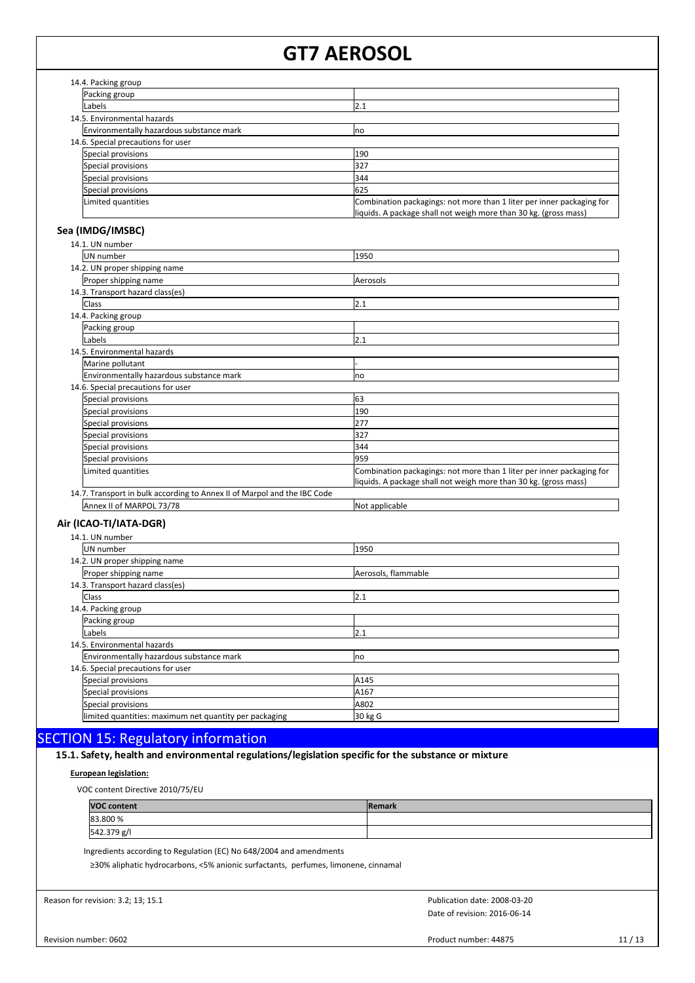| 14.4. Packing group                      |                                                                                                                                           |
|------------------------------------------|-------------------------------------------------------------------------------------------------------------------------------------------|
| Packing group                            |                                                                                                                                           |
| Labels                                   | 2.1                                                                                                                                       |
| 14.5. Environmental hazards              |                                                                                                                                           |
| Environmentally hazardous substance mark | Ino                                                                                                                                       |
| 14.6. Special precautions for user       |                                                                                                                                           |
| Special provisions                       | 190                                                                                                                                       |
| Special provisions                       | 327                                                                                                                                       |
| Special provisions                       | 344                                                                                                                                       |
| Special provisions                       | 625                                                                                                                                       |
| Limited quantities                       | Combination packagings: not more than 1 liter per inner packaging for<br>liquids. A package shall not weigh more than 30 kg. (gross mass) |

#### **Sea (IMDG/IMSBC)** 14.1. UN number

| 14.1. UN number                                                          |                                                                                                                                           |
|--------------------------------------------------------------------------|-------------------------------------------------------------------------------------------------------------------------------------------|
| UN number                                                                | 1950                                                                                                                                      |
| 14.2. UN proper shipping name                                            |                                                                                                                                           |
| Proper shipping name                                                     | Aerosols                                                                                                                                  |
| 14.3. Transport hazard class(es)                                         |                                                                                                                                           |
| Class                                                                    | 2.1                                                                                                                                       |
| 14.4. Packing group                                                      |                                                                                                                                           |
| Packing group                                                            |                                                                                                                                           |
| Labels                                                                   | 2.1                                                                                                                                       |
| 14.5. Environmental hazards                                              |                                                                                                                                           |
| Marine pollutant                                                         |                                                                                                                                           |
| Environmentally hazardous substance mark                                 | no                                                                                                                                        |
| 14.6. Special precautions for user                                       |                                                                                                                                           |
| Special provisions                                                       | 63                                                                                                                                        |
| Special provisions                                                       | 190                                                                                                                                       |
| Special provisions                                                       | 277                                                                                                                                       |
| Special provisions                                                       | 327                                                                                                                                       |
| Special provisions                                                       | 344                                                                                                                                       |
| Special provisions                                                       | 959                                                                                                                                       |
| Limited quantities                                                       | Combination packagings: not more than 1 liter per inner packaging for<br>liquids. A package shall not weigh more than 30 kg. (gross mass) |
| 14.7. Transport in bulk according to Annex II of Marpol and the IBC Code |                                                                                                                                           |
| Annex II of MARPOL 73/78                                                 | Not applicable                                                                                                                            |
| Air (ICAO-TI/IATA-DGR)                                                   |                                                                                                                                           |
| 14.1. UN number                                                          |                                                                                                                                           |
| UN number                                                                | 1950                                                                                                                                      |
| 14.2. UN proper shipping name                                            |                                                                                                                                           |
| Proper shipping name                                                     | Aerosols, flammable                                                                                                                       |
| 14.3. Transport hazard class(es)                                         |                                                                                                                                           |
| <b>Class</b>                                                             | 2.1                                                                                                                                       |
| 14.4. Backing group                                                      |                                                                                                                                           |

| 14.4. Packing group                                    |         |  |
|--------------------------------------------------------|---------|--|
| Packing group                                          |         |  |
| Labels                                                 | 2.1     |  |
| 14.5. Environmental hazards                            |         |  |
| Environmentally hazardous substance mark               | Ino     |  |
| 14.6. Special precautions for user                     |         |  |
| Special provisions                                     | A145    |  |
| Special provisions                                     | A167    |  |
| Special provisions                                     | A802    |  |
| limited quantities: maximum net quantity per packaging | 30 kg G |  |

# SECTION 15: Regulatory information

# 15.1. Safety, health and environmental regulations/legislation specific for the substance or mixture

# **European legislation:**

VOC content Directive 2010/75/EU

| <b>VOC content</b> | <b>IRemark</b> |
|--------------------|----------------|
| 83.800 %           |                |
| 542.379 g/l        |                |

Ingredients according to Regulation (EC) No 648/2004 and amendments

≥30% aliphatic hydrocarbons, <5% anionic surfactants, perfumes, limonene, cinnamal

Reason for revision: 3.2; 13; 15.1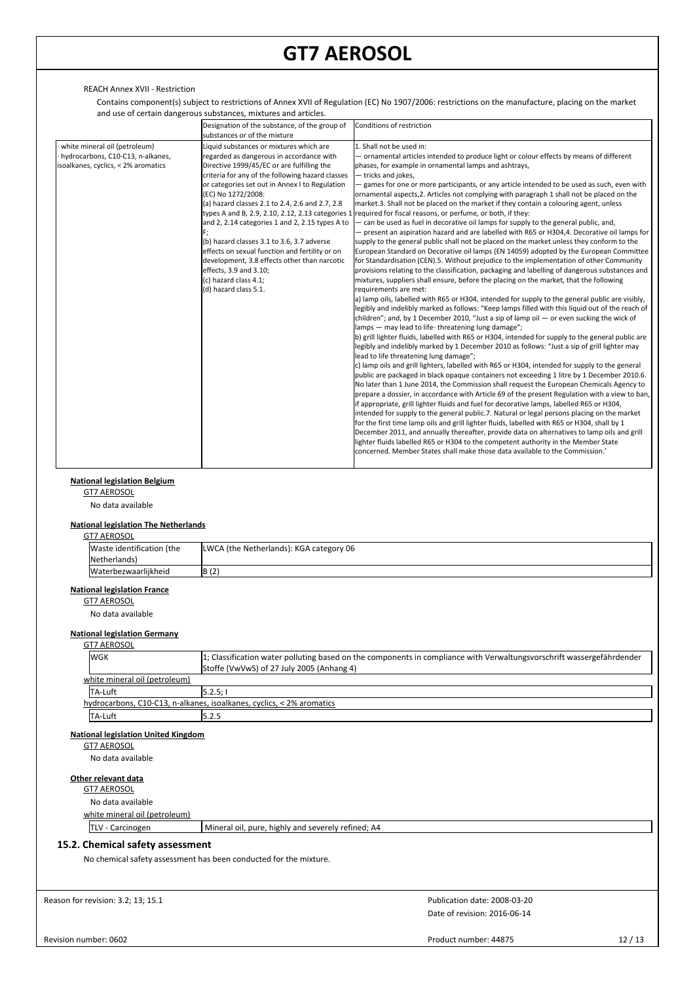# REACH Annex XVII - Restriction

Contains component(s) subject to restrictions of Annex XVII of Regulation (EC) No 1907/2006: restrictions on the manufacture, placing on the market and use of certain dangerous substances, mixtures and articles.

|                                                                                                           | Designation of the substance, of the group of<br>substances or of the mixture                                                                                                                                                                                                                                                                                                                                                                                                                                                                                                                                                                        | Conditions of restriction                                                                                                                                                                                                                                                                                                                                                                                                                                                                                                                                                                                                                                                                                                                                                                                                                                                                                                                                                                                                                                                                                                                                                                                                                                                                                                                                                                                                                                                                                                                                                                                                                                                                                                                                                                                                                                                                                                                                                                                                                                                                                                                                                                                                                                                                                                                                                                                                                                                                                                                                                                                                                                                                                                                                                                                                     |
|-----------------------------------------------------------------------------------------------------------|------------------------------------------------------------------------------------------------------------------------------------------------------------------------------------------------------------------------------------------------------------------------------------------------------------------------------------------------------------------------------------------------------------------------------------------------------------------------------------------------------------------------------------------------------------------------------------------------------------------------------------------------------|-------------------------------------------------------------------------------------------------------------------------------------------------------------------------------------------------------------------------------------------------------------------------------------------------------------------------------------------------------------------------------------------------------------------------------------------------------------------------------------------------------------------------------------------------------------------------------------------------------------------------------------------------------------------------------------------------------------------------------------------------------------------------------------------------------------------------------------------------------------------------------------------------------------------------------------------------------------------------------------------------------------------------------------------------------------------------------------------------------------------------------------------------------------------------------------------------------------------------------------------------------------------------------------------------------------------------------------------------------------------------------------------------------------------------------------------------------------------------------------------------------------------------------------------------------------------------------------------------------------------------------------------------------------------------------------------------------------------------------------------------------------------------------------------------------------------------------------------------------------------------------------------------------------------------------------------------------------------------------------------------------------------------------------------------------------------------------------------------------------------------------------------------------------------------------------------------------------------------------------------------------------------------------------------------------------------------------------------------------------------------------------------------------------------------------------------------------------------------------------------------------------------------------------------------------------------------------------------------------------------------------------------------------------------------------------------------------------------------------------------------------------------------------------------------------------------------------|
| white mineral oil (petroleum)<br>hydrocarbons, C10-C13, n-alkanes,<br>isoalkanes, cyclics, < 2% aromatics | Liquid substances or mixtures which are<br>regarded as dangerous in accordance with<br>Directive 1999/45/EC or are fulfilling the<br>criteria for any of the following hazard classes<br>or categories set out in Annex I to Regulation<br>(EC) No 1272/2008:<br>(a) hazard classes 2.1 to 2.4, 2.6 and 2.7, 2.8<br>types A and B, 2.9, 2.10, 2.12, 2.13 categories 1<br>and 2, 2.14 categories 1 and 2, 2.15 types A to<br>(b) hazard classes 3.1 to 3.6, 3.7 adverse<br>effects on sexual function and fertility or on<br>development, 3.8 effects other than narcotic<br>effects, 3.9 and 3.10;<br>(c) hazard class 4.1;<br>(d) hazard class 5.1. | 1. Shall not be used in:<br>- ornamental articles intended to produce light or colour effects by means of different<br>phases, for example in ornamental lamps and ashtrays,<br>- tricks and jokes,<br>games for one or more participants, or any article intended to be used as such, even with<br>ornamental aspects, 2. Articles not complying with paragraph 1 shall not be placed on the<br>market.3. Shall not be placed on the market if they contain a colouring agent, unless<br>required for fiscal reasons, or perfume, or both, if they:<br>- can be used as fuel in decorative oil lamps for supply to the general public, and,<br>- present an aspiration hazard and are labelled with R65 or H304,4. Decorative oil lamps for<br>supply to the general public shall not be placed on the market unless they conform to the<br>European Standard on Decorative oil lamps (EN 14059) adopted by the European Committee<br>for Standardisation (CEN).5. Without prejudice to the implementation of other Community<br>provisions relating to the classification, packaging and labelling of dangerous substances and<br>mixtures, suppliers shall ensure, before the placing on the market, that the following<br>requirements are met:<br>a) lamp oils, labelled with R65 or H304, intended for supply to the general public are visibly,<br>legibly and indelibly marked as follows: "Keep lamps filled with this liquid out of the reach of<br>children"; and, by 1 December 2010, "Just a sip of lamp oil $-$ or even sucking the wick of<br>lamps - may lead to life-threatening lung damage";<br>b) grill lighter fluids, labelled with R65 or H304, intended for supply to the general public are<br>legibly and indelibly marked by 1 December 2010 as follows: "Just a sip of grill lighter may<br>lead to life threatening lung damage";<br>c) lamp oils and grill lighters, labelled with R65 or H304, intended for supply to the general<br>public are packaged in black opaque containers not exceeding 1 litre by 1 December 2010.6.<br>No later than 1 June 2014, the Commission shall request the European Chemicals Agency to<br>prepare a dossier, in accordance with Article 69 of the present Regulation with a view to ban,<br>if appropriate, grill lighter fluids and fuel for decorative lamps, labelled R65 or H304,<br>intended for supply to the general public.7. Natural or legal persons placing on the market<br>for the first time lamp oils and grill lighter fluids, labelled with R65 or H304, shall by 1<br>December 2011, and annually thereafter, provide data on alternatives to lamp oils and grill<br>lighter fluids labelled R65 or H304 to the competent authority in the Member State<br>concerned. Member States shall make those data available to the Commission.' |

### **National legislation Belgium**

GT7 AEROSOL

No data available

# **National legislation The Netherlands**

| <b>GT7 AEROSOL</b> |                           |                                         |  |  |  |
|--------------------|---------------------------|-----------------------------------------|--|--|--|
|                    | Waste identification (the | LWCA (the Netherlands): KGA category 06 |  |  |  |
|                    | Netherlands)              |                                         |  |  |  |
|                    | Waterbezwaarlijkheid      | B(2)                                    |  |  |  |

# **National legislation France**

GT7 AEROSOL

No data available

# **National legislation Germany**

| <b>GT7 AEROSOL</b>                                                    |                                                                                                                       |  |  |  |  |  |
|-----------------------------------------------------------------------|-----------------------------------------------------------------------------------------------------------------------|--|--|--|--|--|
| <b>WGK</b>                                                            | 1; Classification water polluting based on the components in compliance with Verwaltungsvorschrift wassergefährdender |  |  |  |  |  |
|                                                                       | Stoffe (VwVwS) of 27 July 2005 (Anhang 4)                                                                             |  |  |  |  |  |
| white mineral oil (petroleum)                                         |                                                                                                                       |  |  |  |  |  |
| <b>TA-Luft</b>                                                        | 15.2.5:1                                                                                                              |  |  |  |  |  |
| hydrocarbons, C10-C13, n-alkanes, isoalkanes, cyclics, < 2% aromatics |                                                                                                                       |  |  |  |  |  |
| <b>TA-Luft</b>                                                        | 5.2.5                                                                                                                 |  |  |  |  |  |

#### **National legislation United Kingdom**

GT7 AEROSOL

No data available

#### **Other relevant data**

| T7 AFROSOL |  |
|------------|--|
|            |  |

- No data available
- white mineral oil (petroleum)

TLV - Carcinogen Mineral oil, pure, highly and severely refined; A4

# **15.2. Chemical safety assessment**

No chemical safety assessment has been conducted for the mixture.

Reason for revision: 3.2; 13; 15.1